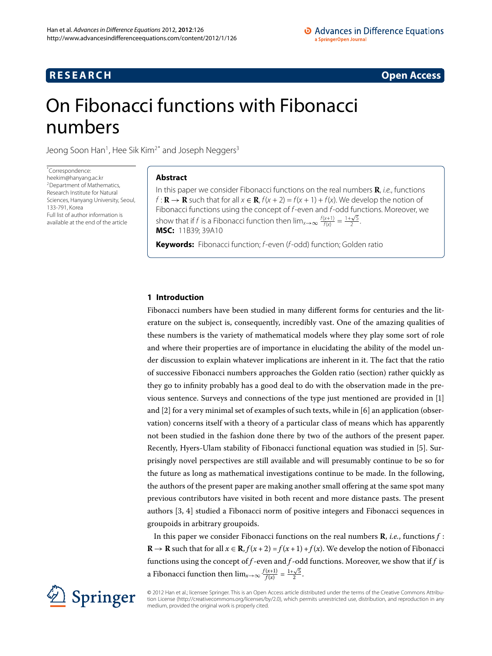# **RESEARCH CONSTRUCTER ACCESS**

# <span id="page-0-0"></span>On Fibonacci functions with Fibonacci numbers

Jeong Soon Han<sup>[1](#page-5-0)</sup>, Hee Sik Kim<sup>2[\\*](#page-0-0)</sup> and Joseph Neggers<sup>3</sup>

\* Correspondence: [heekim@hanyang.ac.kr](mailto:heekim@hanyang.ac.kr) 2Department of Mathematics, Research Institute for Natural Sciences, Hanyang University, Seoul, 133-791, Korea Full list of author information is available at the end of the article

# **Abstract**

In this paper we consider Fibonacci functions on the real numbers **R**, i.e., functions  $f: \mathbf{R} \to \mathbf{R}$  such that for all  $x \in \mathbf{R}$ ,  $f(x + 2) = f(x + 1) + f(x)$ . We develop the notion of Fibonacci functions using the concept of f-even and f-odd functions. Moreover, we show that if f is a Fibonacci function then  $\lim_{x\to\infty} \frac{f(x+1)}{f(x)} = \frac{1+\sqrt{5}}{2}$ . **MSC:** 11B39; 39A10

**Keywords:** Fibonacci function; f-even (f-odd) function; Golden ratio

# **1 Introduction**

Fibonacci numbers have been studied in many different forms for centuries and the literature on the subject is, consequently, incredibly vast. One of the amazing qualities of these numbers is the variety of mathematical models where they play some sort of role and where their properties are of importance in elucidating the ability of the model under discussion to explain whatever implications are inherent in it. The fact that the ratio of successive Fibonacci numbers approaches the Golden ratio (section) rather quickly as they go to infinity probably has a good deal to do with the observation made in the previous sentence. Surveys and connections of the type just mentioned are provided in [[\]](#page-6-0) and  $[2]$  $[2]$  for a very minimal set of examples of such texts, while in  $[6]$  an application (observation) concerns itself with a theory of a particular class of means which has apparently not been studied in the fashion done there by two of the authors of the present paper. Recently, Hyers-Ulam stability of Fibonacci functional equation was studied in [5]. Surprisingly novel perspectives are still available and will presumably continue to be so for the future as long as mathematical investigations continue to be made. In the following, the authors of the present paper are making another small offering at the same spot many previous contributors have visited in both recent and more distance pasts. The present authors  $[3, 4]$  $[3, 4]$  $[3, 4]$  studied a Fibonacci norm of positive integers and Fibonacci sequences in groupoids in arbitrary groupoids.

In this paper we consider Fibonacci functions on the real numbers **R**, *i.e.*, functions *f* : **R** → **R** such that for all  $x \in \mathbf{R}$ ,  $f(x+2) = f(x+1) + f(x)$ . We develop the notion of Fibonacci functions using the concept of *f* -even and *f* -odd functions. Moreover, we show that if *f* is a Fibonacci function then  $\lim_{x\to\infty} \frac{f(x+1)}{f(x)} = \frac{1+\sqrt{5}}{2}$ .



© 2012 Han et al.; licensee Springer. This is an Open Access article distributed under the terms of the Creative Commons Attribution License ([http://creativecommons.org/licenses/by/2.0\)](http://creativecommons.org/licenses/by/2.0), which permits unrestricted use, distribution, and reproduction in any medium, provided the original work is properly cited.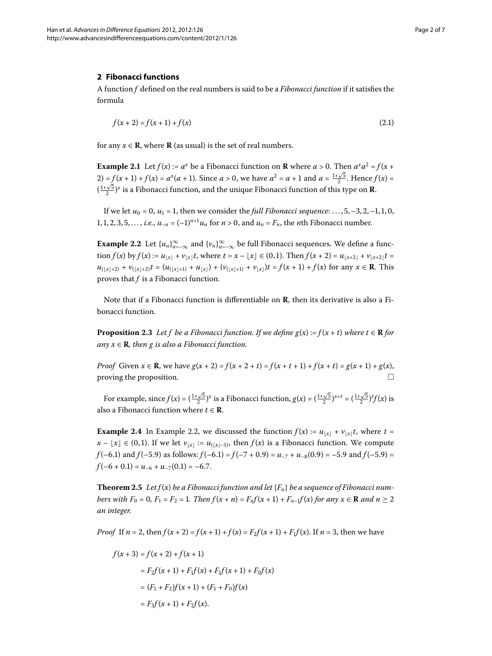### **2 Fibonacci functions**

<span id="page-1-1"></span>A function *f* defined on the real numbers is said to be a *Fibonacci function* if it satisfies the formula

$$
f(x+2) = f(x+1) + f(x)
$$
\n(2.1)

for any  $x \in \mathbb{R}$ , where  $\mathbb{R}$  (as usual) is the set of real numbers.

<span id="page-1-0"></span>**Example 2.1** Let  $f(x) := a^x$  be a Fibonacci function on **R** where  $a > 0$ . Then  $a^x a^2 = f(x + a)$ 2) =  $f(x+1) + f(x) = a^x(a+1)$ . Since  $a > 0$ , we have  $a^2 = a + 1$  and  $a = \frac{1+\sqrt{5}}{2}$ . Hence  $f(x) =$  $\left(\frac{1+\sqrt{5}}{2}\right)^x$  is a Fibonacci function, and the unique Fibonacci function of this type on **R**.

If we let  $u_0 = 0$ ,  $u_1 = 1$ , then we consider the *full Fibonacci sequence*: ..., 5, -3, 2, -1, 1, 0, 1, 1, 2, 3, 5, ..., *i.e.*,  $u_{-n} = (-1)^{n+1} u_n$  for  $n > 0$ , and  $u_n = F_n$ , the *n*th Fibonacci number.

**Example 2.2** Let  $\{u_n\}_{n=-\infty}^{\infty}$  and  $\{v_n\}_{n=-\infty}^{\infty}$  be full Fibonacci sequences. We define a func- $\text{tion } f(x) \text{ by } f(x) := u_{|x|} + v_{|x|}t$ , where  $t = x - \lfloor x \rfloor \in (0, 1)$ . Then  $f(x + 2) = u_{|x+2|} + v_{|x+2|}t =$  $u_{\left(\lfloor x\rfloor+2\right)} + v_{\left(\lfloor x\rfloor+2\right)}t = \left(u_{\left(\lfloor x\rfloor+1\right)} + u_{\left\lfloor x\right\rfloor}\right) + \left(v_{\left(\lfloor x\rfloor+1\right)} + v_{\left\lfloor x\right\rfloor}\right)t = f(x+1) + f(x)$  for any  $x \in \mathbb{R}$ . This proves that *f* is a Fibonacci function.

Note that if a Fibonacci function is differentiable on **R**, then its derivative is also a Fibonacci function.

**Proposition 2.3** Let f be a Fibonacci function. If we define  $g(x) := f(x + t)$  where  $t \in \mathbb{R}$  for  $any x \in \mathbf{R}$ *, then g is also a Fibonacci function.* 

<span id="page-1-3"></span>*Proof* Given  $x \in \mathbb{R}$ , we have  $g(x+2) = f(x+2+t) = f(x+t+1) + f(x+t) = g(x+1) + g(x)$ , proving the proposition.

For example, since  $f(x) = \left(\frac{1+\sqrt{5}}{2}\right)^x$  is a Fibonacci function,  $g(x) = \left(\frac{1+\sqrt{5}}{2}\right)^{x+t} = \left(\frac{1+\sqrt{5}}{2}\right)^t f(x)$  is also a Fibonacci function where  $t \in \mathbb{R}$ .

<span id="page-1-2"></span>**Example 2.4** In Example 2.2, we discussed the function  $f(x) := u_{x} + v_{x}$ , where  $t =$  $x - \lfloor x \rfloor \in (0,1)$ . If we let  $v_{\lfloor x \rfloor} := u_{\lfloor (x-1) \rfloor}$ , then  $f(x)$  is a Fibonacci function. We compute  $f(-6.1)$  and  $f(-5.9)$  as follows:  $f(-6.1) = f(-7 + 0.9) = u_{-7} + u_{-8}(0.9) = -5.9$  and  $f(-5.9) =$  $f(-6 + 0.1) = u_{-6} + u_{-7}(0.1) = -6.7$ .

**Theorem 2.5** Let  $f(x)$  be a Fibonacci function and let  ${F_n}$  be a sequence of Fibonacci num*bers with*  $F_0 = 0$ ,  $F_1 = F_2 = 1$ . Then  $f(x + n) = F_n f(x + 1) + F_{n-1} f(x)$  for any  $x \in \mathbb{R}$  and  $n \ge 2$ *an integer.*

*Proof* If  $n = 2$ , then  $f(x + 2) = f(x + 1) + f(x) = F_2 f(x + 1) + F_1 f(x)$ . If  $n = 3$ , then we have

$$
f(x+3) = f(x+2) + f(x+1)
$$
  
=  $F_2 f(x+1) + F_1 f(x) + F_1 f(x+1) + F_0 f(x)$   
=  $(F_1 + F_2) f(x+1) + (F_1 + F_0) f(x)$   
=  $F_3 f(x+1) + F_2 f(x)$ .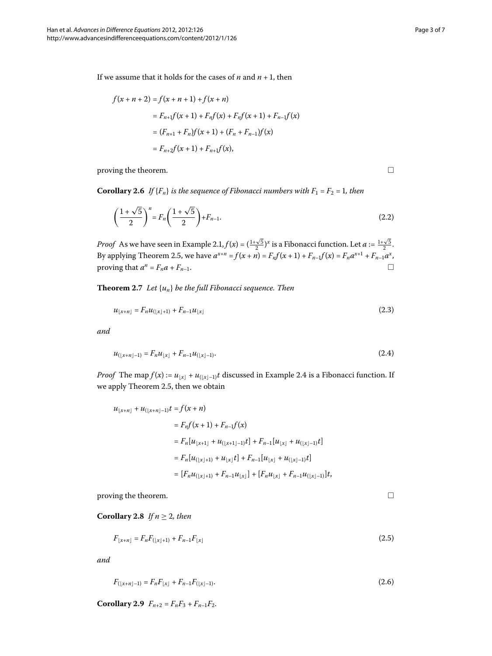If we assume that it holds for the cases of  $n$  and  $n + 1$ , then

$$
f(x + n + 2) = f(x + n + 1) + f(x + n)
$$
  
=  $F_{n+1}f(x + 1) + F_nf(x) + F_nf(x + 1) + F_{n-1}f(x)$   
=  $(F_{n+1} + F_n)f(x + 1) + (F_n + F_{n-1})f(x)$   
=  $F_{n+2}f(x + 1) + F_{n+1}f(x)$ ,

proving the theorem.

**Corollary 2.6** If  ${F_n}$  *is the sequence of Fibonacci numbers with*  $F_1 = F_2 = 1$ *, then* 

$$
\left(\frac{1+\sqrt{5}}{2}\right)^n = F_n\left(\frac{1+\sqrt{5}}{2}\right) + F_{n-1}.
$$
\n(2.2)

*Proof* As we have seen in Example 2.1,  $f(x) = (\frac{1+\sqrt{5}}{2})^x$  is a Fibonacci function. Let  $a := \frac{1+\sqrt{5}}{2}$ . By applying Theorem 2[.](#page-1-2)5, we have  $a^{x+n} = f(x+n) = F_n f(x+1) + F_{n-1} f(x) = F_n a^{x+1} + F_{n-1} a^x$ , proving that  $a^n = F_n a + F_{n-1}$ .

**Theorem 2.7** Let  $\{u_n\}$  be the full Fibonacci sequence. Then

$$
u_{\lfloor x+n \rfloor} = F_n u_{\lfloor x \rfloor + 1} + F_{n-1} u_{\lfloor x \rfloor} \tag{2.3}
$$

*and*

$$
u_{(\lfloor x+n \rfloor-1)} = F_n u_{\lfloor x \rfloor} + F_{n-1} u_{(\lfloor x \rfloor-1)}.
$$
\n(2.4)

*Proof* The map  $f(x) := u_{\lfloor x \rfloor} + u_{\lfloor (x \rfloor - 1)}t$  discussed in Example 2[.](#page-1-3)4 is a Fibonacci function. If we apply Theorem 2.5, then we obtain

$$
u_{\lfloor x+n \rfloor} + u_{(\lfloor x+n \rfloor-1)}t = f(x+n)
$$
  
=  $F_n f(x+1) + F_{n-1}f(x)$   
=  $F_n[u_{\lfloor x+1 \rfloor} + u_{(\lfloor x+1 \rfloor-1)}t] + F_{n-1}[u_{\lfloor x \rfloor} + u_{(\lfloor x \rfloor-1)}t]$   
=  $F_n[u_{(\lfloor x \rfloor+1)} + u_{\lfloor x \rfloor}t] + F_{n-1}[u_{\lfloor x \rfloor} + u_{(\lfloor x \rfloor-1)}t]$   
=  $[F_n u_{(\lfloor x \rfloor+1)} + F_{n-1} u_{\lfloor x \rfloor}] + [F_n u_{\lfloor x \rfloor} + F_{n-1} u_{(\lfloor x \rfloor-1)}]t,$ 

proving the theorem.

**Corollary 2.8** *If*  $n \geq 2$ *, then* 

$$
F_{\lfloor x+n \rfloor} = F_n F_{\lfloor x \rfloor + 1} + F_{n-1} F_{\lfloor x \rfloor} \tag{2.5}
$$

*and*

$$
F_{(\lfloor x+n \rfloor -1)} = F_n F_{\lfloor x \rfloor} + F_{n-1} F_{(\lfloor x \rfloor -1)}.
$$
\n(2.6)

**Corollary 2.9**  $F_{n+2} = F_n F_3 + F_{n-1} F_2$ .

 $\Box$ 

<span id="page-2-1"></span><span id="page-2-0"></span> $\Box$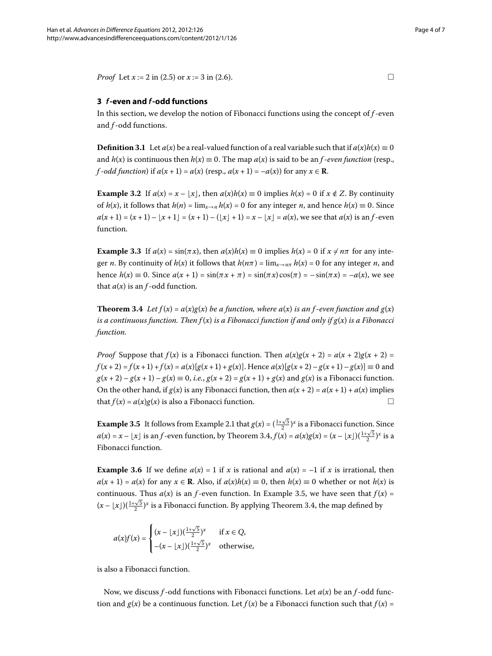*Proof* Let  $x := 2$  in (2[.](#page-2-1)5) or  $x := 3$  in (2.6).

# **3** *f***-even and** *f***-odd functions**

In this section, we develop the notion of Fibonacci functions using the concept of *f* -even and *f* -odd functions.

**Definition 3.1** Let  $a(x)$  be a real-valued function of a real variable such that if  $a(x)h(x) \equiv 0$ and  $h(x)$  is continuous then  $h(x) \equiv 0$ . The map  $a(x)$  is said to be an *f*-*even function* (resp., *f*-*odd function*) if  $a(x + 1) = a(x)$  (resp.,  $a(x + 1) = -a(x)$ ) for any  $x \in \mathbb{R}$ .

**Example 3.2** If  $a(x) = x - |x|$ , then  $a(x)h(x) \equiv 0$  implies  $h(x) = 0$  if  $x \notin Z$ . By continuity of  $h(x)$ , it follows that  $h(n) = \lim_{x \to n} h(x) = 0$  for any integer *n*, and hence  $h(x) \equiv 0$ . Since  $a(x+1) = (x+1) - |x+1| = (x+1) - (|x|+1) = x - |x| = a(x)$ , we see that  $a(x)$  is an *f*-even function.

<span id="page-3-0"></span>**Example 3.3** If  $a(x) = \sin(\pi x)$ , then  $a(x)h(x) \equiv 0$  implies  $h(x) = 0$  if  $x \neq n\pi$  for any integer *n*. By continuity of  $h(x)$  it follows that  $h(n\pi) = \lim_{x \to n\pi} h(x) = 0$  for any integer *n*, and hence  $h(x) \equiv 0$ . Since  $a(x + 1) = \sin(\pi x + \pi) = \sin(\pi x) \cos(\pi) = -\sin(\pi x) = -a(x)$ , we see that  $a(x)$  is an  $f$ -odd function.

**Theorem 3.4** Let  $f(x) = a(x)g(x)$  be a function, where  $a(x)$  is an f-even function and  $g(x)$ *is a continuous function. Then*  $f(x)$  *is a Fibonacci function if and only if*  $g(x)$  *is a Fibonacci function.*

<span id="page-3-1"></span>*Proof* Suppose that  $f(x)$  is a Fibonacci function. Then  $a(x)g(x + 2) = a(x + 2)g(x + 2) =$  $f(x+2) = f(x+1) + f(x) = a(x)[g(x+1) + g(x)].$  Hence  $a(x)[g(x+2) - g(x+1) - g(x)] \equiv 0$  and  $g(x+2) - g(x+1) - g(x) \equiv 0$ , *i.e.*,  $g(x+2) = g(x+1) + g(x)$  and  $g(x)$  is a Fibonacci function. On the other hand, if  $g(x)$  is any Fibonacci function, then  $a(x + 2) = a(x + 1) + a(x)$  implies that  $f(x) = a(x)g(x)$  is also a Fibonacci function.

**Example 3[.](#page-1-1)5** It follows from Example 2.1 that  $g(x) = (\frac{1+\sqrt{5}}{2})^x$  is a Fibonacci function. Since  $a(x) = x - \lfloor x \rfloor$  is an *f* -even function, by Theorem 3[.](#page-3-0)4,  $f(x) = a(x)g(x) = (x - \lfloor x \rfloor)(\frac{1+\sqrt{5}}{2})^x$  is a Fibonacci function.

**Example 3.6** If we define  $a(x) = 1$  if x is rational and  $a(x) = -1$  if x is irrational, then  $a(x + 1) = a(x)$  for any  $x \in \mathbb{R}$ . Also, if  $a(x)h(x) \equiv 0$ , then  $h(x) \equiv 0$  whether or not  $h(x)$  is continuous. Thus  $a(x)$  is an *f*-even function. In Example 3.5, we have seen that  $f(x) =$  $(x - \lfloor x \rfloor)(\frac{1+\sqrt{5}}{2})^x$  is a Fibonacci function[.](#page-3-0) By applying Theorem 3.4, the map defined by

$$
a(x)f(x) = \begin{cases} (x - \lfloor x \rfloor)(\frac{1 + \sqrt{5}}{2})^x & \text{if } x \in Q, \\ -(x - \lfloor x \rfloor)(\frac{1 + \sqrt{5}}{2})^x & \text{otherwise,} \end{cases}
$$

is also a Fibonacci function.

Now, we discuss *f* -odd functions with Fibonacci functions. Let *a*(*x*) be an *f* -odd function and  $g(x)$  be a continuous function. Let  $f(x)$  be a Fibonacci function such that  $f(x) =$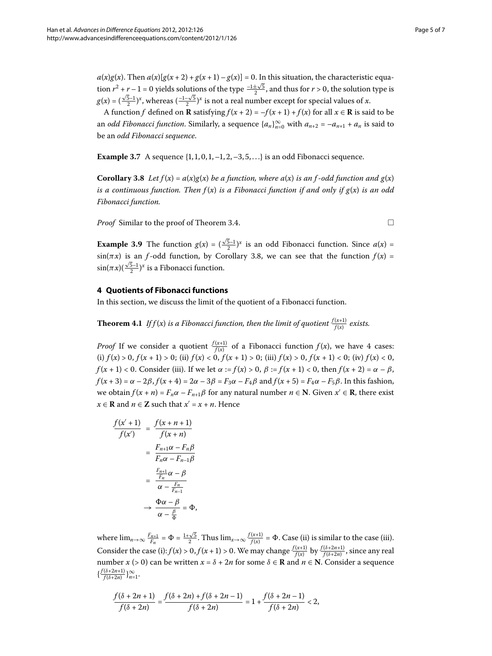$a(x)g(x)$ . Then  $a(x)[g(x+2) + g(x+1) - g(x)] = 0$ . In this situation, the characteristic equation  $r^2 + r - 1 = 0$  yields solutions of the type  $\frac{-1 \pm \sqrt{5}}{2}$ , and thus for  $r > 0$ , the solution type is  $g(x) = (\frac{\sqrt{5}-1}{2})^x$ , whereas  $(\frac{-1-\sqrt{5}}{2})^x$  is not a real number except for special values of *x*.

<span id="page-4-0"></span>A function *f* defined on **R** satisfying  $f(x + 2) = -f(x + 1) + f(x)$  for all  $x \in \mathbb{R}$  is said to be an *odd Fibonacci function*. Similarly, a sequence  $\{a_n\}_{n=0}^{\infty}$  with  $a_{n+2} = -a_{n+1} + a_n$  is said to be an *odd Fibonacci sequence*.

**Example 3.7** A sequence  $\{1, 1, 0, 1, -1, 2, -3, 5, ...\}$  is an odd Fibonacci sequence.

**Corollary 3.8** Let  $f(x) = a(x)g(x)$  be a function, where  $a(x)$  is an f-odd function and  $g(x)$ *is a continuous function. Then f* (*x*) *is a Fibonacci function if and only if g*(*x*) *is an odd Fibonacci function.*

*Proof* Similar to the proof of Theorem 3.4.  $\Box$ 

<span id="page-4-1"></span>**Example 3.9** The function  $g(x) = (\frac{\sqrt{5}-1}{2})^x$  is an odd Fibonacci function. Since  $a(x) =$  $sin(\pi x)$  is an *f*-odd function, by Corollary 3[.](#page-4-0)8, we can see that the function  $f(x) =$  $\sin(\pi x) (\frac{\sqrt{5}-1}{2})^x$  is a Fibonacci function.

#### **4 Quotients of Fibonacci functions**

In this section, we discuss the limit of the quotient of a Fibonacci function.

**Theorem 4.1** If  $f(x)$  is a Fibonacci function, then the limit of quotient  $\frac{f(x+1)}{f(x)}$  exists.

*Proof* If we consider a quotient  $\frac{f(x+1)}{f(x)}$  of a Fibonacci function  $f(x)$ , we have 4 cases: (i)  $f(x) > 0$ ,  $f(x + 1) > 0$ ; (ii)  $f(x) < 0$ ,  $f(x + 1) > 0$ ; (iii)  $f(x) > 0$ ,  $f(x + 1) < 0$ ; (iv)  $f(x) < 0$ , *f* (*x* + 1) < 0. Consider (iii). If we let  $\alpha := f(x) > 0$ ,  $\beta := f(x + 1) < 0$ , then  $f(x + 2) = \alpha - \beta$ ,  $f(x+3) = \alpha - 2\beta$ ,  $f(x+4) = 2\alpha - 3\beta = F_3\alpha - F_4\beta$  and  $f(x+5) = F_4\alpha - F_5\beta$ . In this fashion, we obtain  $f(x + n) = F_n \alpha - F_{n+1} \beta$  for any natural number  $n \in \mathbb{N}$ . Given  $x' \in \mathbb{R}$ , there exist *x* ∈ **R** and *n* ∈ **Z** such that  $x' = x + n$ . Hence

$$
\frac{f(x'+1)}{f(x')} = \frac{f(x+n+1)}{f(x+n)} \n= \frac{F_{n+1}\alpha - F_n\beta}{F_n\alpha - F_{n-1}\beta} \n= \frac{\frac{F_{n+1}}{F_n}\alpha - \beta}{\alpha - \frac{F_n}{F_{n-1}}} \n\to \frac{\Phi\alpha - \beta}{\alpha - \frac{\beta}{\Phi}} = \Phi,
$$

where  $\lim_{n\to\infty} \frac{F_{n+1}}{F_n} = \Phi = \frac{1+\sqrt{5}}{2}$ . Thus  $\lim_{x\to\infty} \frac{f(x+1)}{f(x)} = \Phi$ . Case (ii) is similar to the case (iii). Consider the case (i):  $f(x) > 0$ ,  $f(x + 1) > 0$ . We may change  $\frac{f(x+1)}{f(x)}$  by  $\frac{f(\delta+2n+1)}{f(\delta+2n)}$ , since any real number *x* (> 0) can be written *x* =  $\delta$  + 2*n* for some  $\delta \in \mathbf{R}$  and *n*  $\in \mathbf{N}$ . Consider a sequence  $\{\frac{f(\delta+2n+1)}{f(\delta+2n)}\}_{n=1}^{\infty}$ .

$$
\frac{f(\delta+2n+1)}{f(\delta+2n)} = \frac{f(\delta+2n)+f(\delta+2n-1)}{f(\delta+2n)} = 1 + \frac{f(\delta+2n-1)}{f(\delta+2n)} < 2,
$$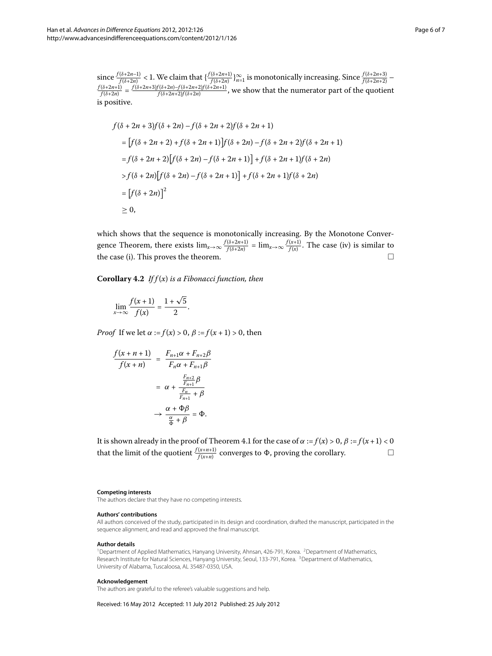since  $\frac{f(\delta+2n-1)}{f(\delta+2n)} < 1$ . We claim that  $\{\frac{f(\delta+2n+1)}{f(\delta+2n)}\}_{n=1}^{\infty}$  is monotonically increasing. Since  $\frac{f(\delta+2n+3)}{f(\delta+2n+2)} - \frac{f(\delta+2n+3)f(\delta+2n)-f(\delta+2n+2)f(\delta+2n+1)}{f(\delta+2n)} = \frac{f(\delta+2n+3)f(\delta+2n)-f(\delta+2n+2)f(\delta+2n+1)}{$ is positive.

$$
f(\delta + 2n + 3)f(\delta + 2n) - f(\delta + 2n + 2)f(\delta + 2n + 1)
$$
  
= 
$$
[f(\delta + 2n + 2) + f(\delta + 2n + 1)]f(\delta + 2n) - f(\delta + 2n + 2)f(\delta + 2n + 1)
$$
  
= 
$$
f(\delta + 2n + 2)[f(\delta + 2n) - f(\delta + 2n + 1)] + f(\delta + 2n + 1)f(\delta + 2n)
$$
  
> 
$$
f(\delta + 2n)[f(\delta + 2n) - f(\delta + 2n + 1)] + f(\delta + 2n + 1)f(\delta + 2n)
$$
  
= 
$$
[f(\delta + 2n)]^2
$$
  

$$
\geq 0,
$$

which shows that the sequence is monotonically increasing. By the Monotone Convergence Theorem, there exists  $\lim_{x\to\infty} \frac{f(\delta+2n+1)}{f(\delta+2n)} = \lim_{x\to\infty} \frac{f(x+1)}{f(x)}$ . The case (iv) is similar to the case (i). This proves the theorem.  $\Box$ 

**Corollary .** *If f* (*x*) *is a Fibonacci function, then*

$$
\lim_{x \to \infty} \frac{f(x+1)}{f(x)} = \frac{1+\sqrt{5}}{2}.
$$

*Proof* If we let  $\alpha := f(x) > 0$ ,  $\beta := f(x + 1) > 0$ , then

$$
\frac{f(x+n+1)}{f(x+n)} = \frac{F_{n+1}\alpha + F_{n+2}\beta}{F_n\alpha + F_{n+1}\beta}
$$

$$
= \alpha + \frac{\frac{F_{n+2}}{F_{n+1}}\beta}{\frac{F_n}{F_{n+1}} + \beta}
$$

$$
\rightarrow \frac{\alpha + \Phi\beta}{\frac{\alpha}{\Phi} + \beta} = \Phi.
$$

It is shown already in the proof of Theorem 4[.](#page-4-1)1 for the case of  $\alpha := f(x) > 0$ ,  $\beta := f(x+1) < 0$ that the limit of the quotient  $\frac{f(x+n+1)}{f(x+n)}$  converges to  $\Phi$ , proving the corollary.  $\Box$ 

#### <span id="page-5-2"></span><span id="page-5-1"></span><span id="page-5-0"></span>**Competing interests**

The authors declare that they have no competing interests.

#### **Authors' contributions**

All authors conceived of the study, participated in its design and coordination, drafted the manuscript, participated in the sequence alignment, and read and approved the final manuscript.

#### **Author details**

<sup>1</sup>Department of Applied Mathematics, Hanyang University, Ahnsan, 426-791, Korea. <sup>2</sup>Department of Mathematics, Research Institute for Natural Sciences, Hanyang University, Seoul, 133-791, Korea. <sup>3</sup>Department of Mathematics, University of Alabama, Tuscaloosa, AL 35487-0350, USA.

#### **Acknowledgement**

The authors are grateful to the referee's valuable suggestions and help.

Received: 16 May 2012 Accepted: 11 July 2012 Published: 25 July 2012